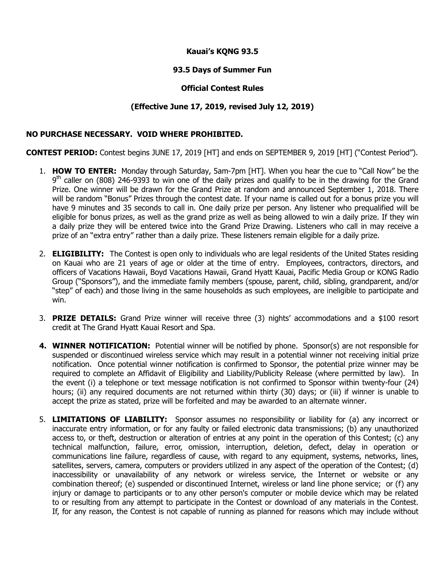# **Kauai's KQNG 93.5**

## **93.5 Days of Summer Fun**

### **Official Contest Rules**

## **(Effective June 17, 2019, revised July 12, 2019)**

#### **NO PURCHASE NECESSARY. VOID WHERE PROHIBITED.**

**CONTEST PERIOD:** Contest begins JUNE 17, 2019 [HT] and ends on SEPTEMBER 9, 2019 [HT] ("Contest Period").

- 1. **HOW TO ENTER:** Monday through Saturday, 5am-7pm [HT]. When you hear the cue to "Call Now" be the 9<sup>th</sup> caller on (808) 246-9393 to win one of the daily prizes and qualify to be in the drawing for the Grand Prize. One winner will be drawn for the Grand Prize at random and announced September 1, 2018. There will be random "Bonus" Prizes through the contest date. If your name is called out for a bonus prize you will have 9 minutes and 35 seconds to call in. One daily prize per person. Any listener who prequalified will be eligible for bonus prizes, as well as the grand prize as well as being allowed to win a daily prize. If they win a daily prize they will be entered twice into the Grand Prize Drawing. Listeners who call in may receive a prize of an "extra entry" rather than a daily prize. These listeners remain eligible for a daily prize.
- 2. **ELIGIBILITY:** The Contest is open only to individuals who are legal residents of the United States residing on Kauai who are 21 years of age or older at the time of entry. Employees, contractors, directors, and officers of Vacations Hawaii, Boyd Vacations Hawaii, Grand Hyatt Kauai, Pacific Media Group or KONG Radio Group ("Sponsors"), and the immediate family members (spouse, parent, child, sibling, grandparent, and/or "step" of each) and those living in the same households as such employees, are ineligible to participate and win.
- 3. **PRIZE DETAILS:** Grand Prize winner will receive three (3) nights' accommodations and a \$100 resort credit at The Grand Hyatt Kauai Resort and Spa.
- **4. WINNER NOTIFICATION:** Potential winner will be notified by phone. Sponsor(s) are not responsible for suspended or discontinued wireless service which may result in a potential winner not receiving initial prize notification. Once potential winner notification is confirmed to Sponsor, the potential prize winner may be required to complete an Affidavit of Eligibility and Liability/Publicity Release (where permitted by law). In the event (i) a telephone or text message notification is not confirmed to Sponsor within twenty-four (24) hours; (ii) any required documents are not returned within thirty (30) days; or (iii) if winner is unable to accept the prize as stated, prize will be forfeited and may be awarded to an alternate winner.
- 5. **LIMITATIONS OF LIABILITY:** Sponsor assumes no responsibility or liability for (a) any incorrect or inaccurate entry information, or for any faulty or failed electronic data transmissions; (b) any unauthorized access to, or theft, destruction or alteration of entries at any point in the operation of this Contest; (c) any technical malfunction, failure, error, omission, interruption, deletion, defect, delay in operation or communications line failure, regardless of cause, with regard to any equipment, systems, networks, lines, satellites, servers, camera, computers or providers utilized in any aspect of the operation of the Contest; (d) inaccessibility or unavailability of any network or wireless service, the Internet or website or any combination thereof; (e) suspended or discontinued Internet, wireless or land line phone service; or (f) any injury or damage to participants or to any other person's computer or mobile device which may be related to or resulting from any attempt to participate in the Contest or download of any materials in the Contest. If, for any reason, the Contest is not capable of running as planned for reasons which may include without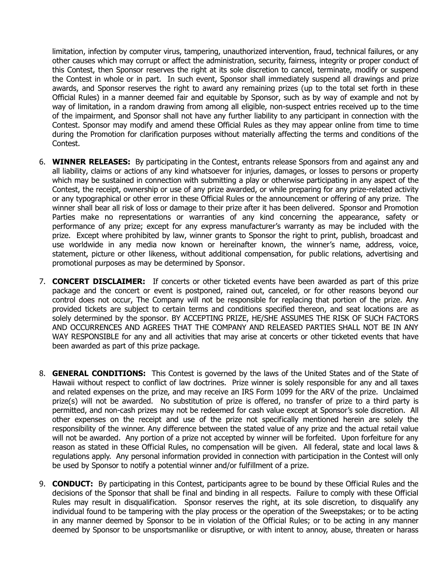limitation, infection by computer virus, tampering, unauthorized intervention, fraud, technical failures, or any other causes which may corrupt or affect the administration, security, fairness, integrity or proper conduct of this Contest, then Sponsor reserves the right at its sole discretion to cancel, terminate, modify or suspend the Contest in whole or in part. In such event, Sponsor shall immediately suspend all drawings and prize awards, and Sponsor reserves the right to award any remaining prizes (up to the total set forth in these Official Rules) in a manner deemed fair and equitable by Sponsor, such as by way of example and not by way of limitation, in a random drawing from among all eligible, non-suspect entries received up to the time of the impairment, and Sponsor shall not have any further liability to any participant in connection with the Contest. Sponsor may modify and amend these Official Rules as they may appear online from time to time during the Promotion for clarification purposes without materially affecting the terms and conditions of the Contest.

- 6. **WINNER RELEASES:** By participating in the Contest, entrants release Sponsors from and against any and all liability, claims or actions of any kind whatsoever for injuries, damages, or losses to persons or property which may be sustained in connection with submitting a play or otherwise participating in any aspect of the Contest, the receipt, ownership or use of any prize awarded, or while preparing for any prize-related activity or any typographical or other error in these Official Rules or the announcement or offering of any prize. The winner shall bear all risk of loss or damage to their prize after it has been delivered. Sponsor and Promotion Parties make no representations or warranties of any kind concerning the appearance, safety or performance of any prize; except for any express manufacturer's warranty as may be included with the prize. Except where prohibited by law, winner grants to Sponsor the right to print, publish, broadcast and use worldwide in any media now known or hereinafter known, the winner's name, address, voice, statement, picture or other likeness, without additional compensation, for public relations, advertising and promotional purposes as may be determined by Sponsor.
- 7. **CONCERT DISCLAIMER:** If concerts or other ticketed events have been awarded as part of this prize package and the concert or event is postponed, rained out, canceled, or for other reasons beyond our control does not occur, The Company will not be responsible for replacing that portion of the prize. Any provided tickets are subject to certain terms and conditions specified thereon, and seat locations are as solely determined by the sponsor. BY ACCEPTING PRIZE, HE/SHE ASSUMES THE RISK OF SUCH FACTORS AND OCCURRENCES AND AGREES THAT THE COMPANY AND RELEASED PARTIES SHALL NOT BE IN ANY WAY RESPONSIBLE for any and all activities that may arise at concerts or other ticketed events that have been awarded as part of this prize package.
- 8. **GENERAL CONDITIONS:** This Contest is governed by the laws of the United States and of the State of Hawaii without respect to conflict of law doctrines. Prize winner is solely responsible for any and all taxes and related expenses on the prize, and may receive an IRS Form 1099 for the ARV of the prize. Unclaimed prize(s) will not be awarded. No substitution of prize is offered, no transfer of prize to a third party is permitted, and non-cash prizes may not be redeemed for cash value except at Sponsor's sole discretion. All other expenses on the receipt and use of the prize not specifically mentioned herein are solely the responsibility of the winner. Any difference between the stated value of any prize and the actual retail value will not be awarded. Any portion of a prize not accepted by winner will be forfeited. Upon forfeiture for any reason as stated in these Official Rules, no compensation will be given. All federal, state and local laws & regulations apply. Any personal information provided in connection with participation in the Contest will only be used by Sponsor to notify a potential winner and/or fulfillment of a prize.
- 9. **CONDUCT:** By participating in this Contest, participants agree to be bound by these Official Rules and the decisions of the Sponsor that shall be final and binding in all respects. Failure to comply with these Official Rules may result in disqualification. Sponsor reserves the right, at its sole discretion, to disqualify any individual found to be tampering with the play process or the operation of the Sweepstakes; or to be acting in any manner deemed by Sponsor to be in violation of the Official Rules; or to be acting in any manner deemed by Sponsor to be unsportsmanlike or disruptive, or with intent to annoy, abuse, threaten or harass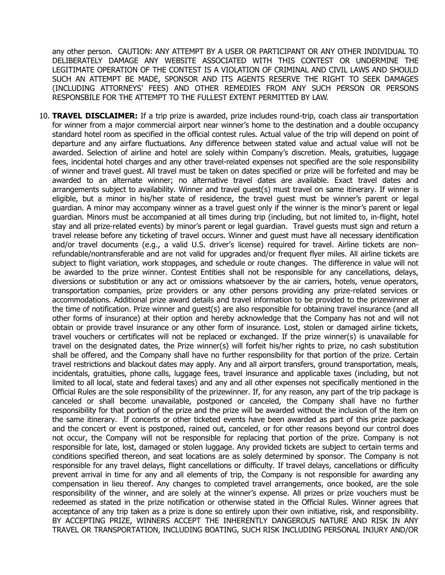any other person. CAUTION: ANY ATTEMPT BY A USER OR PARTICIPANT OR ANY OTHER INDIVIDUAL TO DELIBERATELY DAMAGE ANY WEBSITE ASSOCIATED WITH THIS CONTEST OR UNDERMINE THE LEGITIMATE OPERATION OF THE CONTEST IS A VIOLATION OF CRIMINAL AND CIVIL LAWS AND SHOULD SUCH AN ATTEMPT BE MADE, SPONSOR AND ITS AGENTS RESERVE THE RIGHT TO SEEK DAMAGES (INCLUDING ATTORNEYS' FEES) AND OTHER REMEDIES FROM ANY SUCH PERSON OR PERSONS RESPONSBILE FOR THE ATTEMPT TO THE FULLEST EXTENT PERMITTED BY LAW.

10. **TRAVEL DISCLAIMER:** If a trip prize is awarded, prize includes round-trip, coach class air transportation for winner from a major commercial airport near winner's home to the destination and a double occupancy standard hotel room as specified in the official contest rules. Actual value of the trip will depend on point of departure and any airfare fluctuations. Any difference between stated value and actual value will not be awarded. Selection of airline and hotel are solely within Company's discretion. Meals, gratuities, luggage fees, incidental hotel charges and any other travel-related expenses not specified are the sole responsibility of winner and travel guest. All travel must be taken on dates specified or prize will be forfeited and may be awarded to an alternate winner; no alternative travel dates are available. Exact travel dates and arrangements subject to availability. Winner and travel guest(s) must travel on same itinerary. If winner is eligible, but a minor in his/her state of residence, the travel guest must be winner's parent or legal guardian. A minor may accompany winner as a travel guest only if the winner is the minor's parent or legal guardian. Minors must be accompanied at all times during trip (including, but not limited to, in-flight, hotel stay and all prize-related events) by minor's parent or legal guardian. Travel guests must sign and return a travel release before any ticketing of travel occurs. Winner and guest must have all necessary identification and/or travel documents (e.g., a valid U.S. driver's license) required for travel. Airline tickets are nonrefundable/nontransferable and are not valid for upgrades and/or frequent flyer miles. All airline tickets are subject to flight variation, work stoppages, and schedule or route changes. The difference in value will not be awarded to the prize winner. Contest Entities shall not be responsible for any cancellations, delays, diversions or substitution or any act or omissions whatsoever by the air carriers, hotels, venue operators, transportation companies, prize providers or any other persons providing any prize-related services or accommodations. Additional prize award details and travel information to be provided to the prizewinner at the time of notification. Prize winner and guest(s) are also responsible for obtaining travel insurance (and all other forms of insurance) at their option and hereby acknowledge that the Company has not and will not obtain or provide travel insurance or any other form of insurance. Lost, stolen or damaged airline tickets, travel vouchers or certificates will not be replaced or exchanged. If the prize winner(s) is unavailable for travel on the designated dates, the Prize winner(s) will forfeit his/her rights to prize, no cash substitution shall be offered, and the Company shall have no further responsibility for that portion of the prize. Certain travel restrictions and blackout dates may apply. Any and all airport transfers, ground transportation, meals, incidentals, gratuities, phone calls, luggage fees, travel insurance and applicable taxes (including, but not limited to all local, state and federal taxes) and any and all other expenses not specifically mentioned in the Official Rules are the sole responsibility of the prizewinner. If, for any reason, any part of the trip package is canceled or shall become unavailable, postponed or canceled, the Company shall have no further responsibility for that portion of the prize and the prize will be awarded without the inclusion of the item on the same itinerary. If concerts or other ticketed events have been awarded as part of this prize package and the concert or event is postponed, rained out, canceled, or for other reasons beyond our control does not occur, the Company will not be responsible for replacing that portion of the prize. Company is not responsible for late, lost, damaged or stolen luggage. Any provided tickets are subject to certain terms and conditions specified thereon, and seat locations are as solely determined by sponsor. The Company is not responsible for any travel delays, flight cancellations or difficulty. If travel delays, cancellations or difficulty prevent arrival in time for any and all elements of trip, the Company is not responsible for awarding any compensation in lieu thereof. Any changes to completed travel arrangements, once booked, are the sole responsibility of the winner, and are solely at the winner's expense. All prizes or prize vouchers must be redeemed as stated in the prize notification or otherwise stated in the Official Rules. Winner agrees that acceptance of any trip taken as a prize is done so entirely upon their own initiative, risk, and responsibility. BY ACCEPTING PRIZE, WINNERS ACCEPT THE INHERENTLY DANGEROUS NATURE AND RISK IN ANY TRAVEL OR TRANSPORTATION, INCLUDING BOATING, SUCH RISK INCLUDING PERSONAL INJURY AND/OR